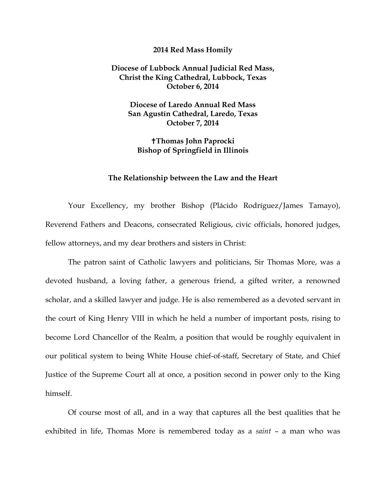## **2014 Red Mass Homily**

## **Diocese of Lubbock Annual Judicial Red Mass, Christ the King Cathedral, Lubbock, Texas October 6, 2014**

**Diocese of Laredo Annual Red Mass San Agustín Cathedral, Laredo, Texas October 7, 2014** 

**Thomas John Paprocki Bishop of Springfield in Illinois** 

## **The Relationship between the Law and the Heart**

Your Excellency, my brother Bishop (Plácido Rodríguez/James Tamayo), Reverend Fathers and Deacons, consecrated Religious, civic officials, honored judges, fellow attorneys, and my dear brothers and sisters in Christ:

The patron saint of Catholic lawyers and politicians, Sir Thomas More, was a devoted husband, a loving father, a generous friend, a gifted writer, a renowned scholar, and a skilled lawyer and judge. He is also remembered as a devoted servant in the court of King Henry VIII in which he held a number of important posts, rising to become Lord Chancellor of the Realm, a position that would be roughly equivalent in our political system to being White House chief-of-staff, Secretary of State, and Chief Justice of the Supreme Court all at once, a position second in power only to the King himself.

Of course most of all, and in a way that captures all the best qualities that he exhibited in life, Thomas More is remembered today as a *saint* – a man who was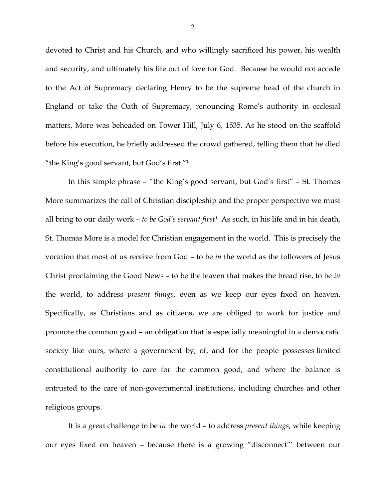devoted to Christ and his Church, and who willingly sacrificed his power, his wealth and security, and ultimately his life out of love for God. Because he would not accede to the Act of Supremacy declaring Henry to be the supreme head of the church in England or take the Oath of Supremacy, renouncing Rome's authority in ecclesial matters, More was beheaded on Tower Hill, July 6, 1535. As he stood on the scaffold before his execution, he briefly addressed the crowd gathered, telling them that he died "the King's good servant, but God's first."1

In this simple phrase – "the King's good servant, but God's first" – St. Thomas More summarizes the call of Christian discipleship and the proper perspective we must all bring to our daily work – *to be God's servant first!* As such, in his life and in his death, St. Thomas More is a model for Christian engagement in the world. This is precisely the vocation that most of us receive from God – to be *in* the world as the followers of Jesus Christ proclaiming the Good News – to be the leaven that makes the bread rise, to be *in* the world, to address *present things*, even as we keep our eyes fixed on heaven. Specifically, as Christians and as citizens, we are obliged to work for justice and promote the common good – an obligation that is especially meaningful in a democratic society like ours, where a government by, of, and for the people possesses limited constitutional authority to care for the common good, and where the balance is entrusted to the care of non-governmental institutions, including churches and other religious groups.

It is a great challenge to be *in* the world – to address *present things*, while keeping our eyes fixed on heaven – because there is a growing "disconnect"' between our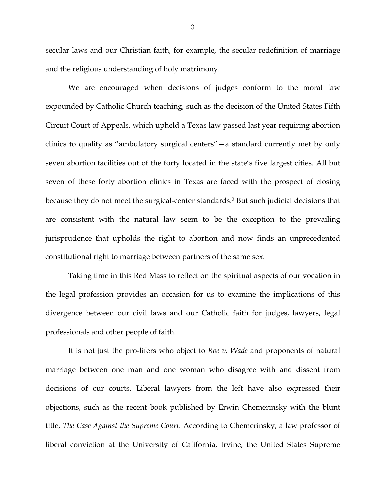secular laws and our Christian faith, for example, the secular redefinition of marriage and the religious understanding of holy matrimony.

We are encouraged when decisions of judges conform to the moral law expounded by Catholic Church teaching, such as the decision of the United States Fifth Circuit Court of Appeals, which upheld a Texas law passed last year requiring abortion clinics to qualify as "ambulatory surgical centers"—a standard currently met by only seven abortion facilities out of the forty located in the state's five largest cities. All but seven of these forty abortion clinics in Texas are faced with the prospect of closing because they do not meet the surgical-center standards.2 But such judicial decisions that are consistent with the natural law seem to be the exception to the prevailing jurisprudence that upholds the right to abortion and now finds an unprecedented constitutional right to marriage between partners of the same sex.

Taking time in this Red Mass to reflect on the spiritual aspects of our vocation in the legal profession provides an occasion for us to examine the implications of this divergence between our civil laws and our Catholic faith for judges, lawyers, legal professionals and other people of faith.

It is not just the pro-lifers who object to *Roe v. Wade* and proponents of natural marriage between one man and one woman who disagree with and dissent from decisions of our courts. Liberal lawyers from the left have also expressed their objections, such as the recent book published by Erwin Chemerinsky with the blunt title, *The Case Against the Supreme Court*. According to Chemerinsky, a law professor of liberal conviction at the University of California, Irvine, the United States Supreme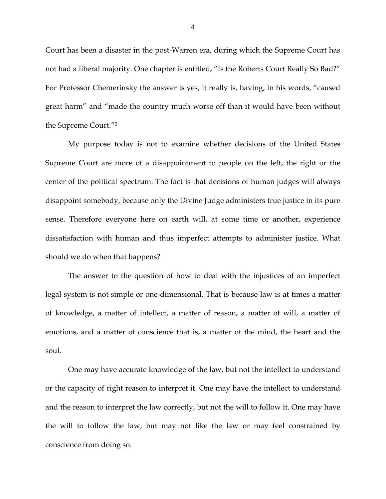Court has been a disaster in the post-Warren era, during which the Supreme Court has not had a liberal majority. One chapter is entitled, "Is the Roberts Court Really So Bad?" For Professor Chemerinsky the answer is yes, it really is, having, in his words, "caused great harm" and "made the country much worse off than it would have been without the Supreme Court."3

My purpose today is not to examine whether decisions of the United States Supreme Court are more of a disappointment to people on the left, the right or the center of the political spectrum. The fact is that decisions of human judges will always disappoint somebody, because only the Divine Judge administers true justice in its pure sense. Therefore everyone here on earth will, at some time or another, experience dissatisfaction with human and thus imperfect attempts to administer justice. What should we do when that happens?

The answer to the question of how to deal with the injustices of an imperfect legal system is not simple or one-dimensional. That is because law is at times a matter of knowledge, a matter of intellect, a matter of reason, a matter of will, a matter of emotions, and a matter of conscience that is, a matter of the mind, the heart and the soul.

One may have accurate knowledge of the law, but not the intellect to understand or the capacity of right reason to interpret it. One may have the intellect to understand and the reason to interpret the law correctly, but not the will to follow it. One may have the will to follow the law, but may not like the law or may feel constrained by conscience from doing so.

4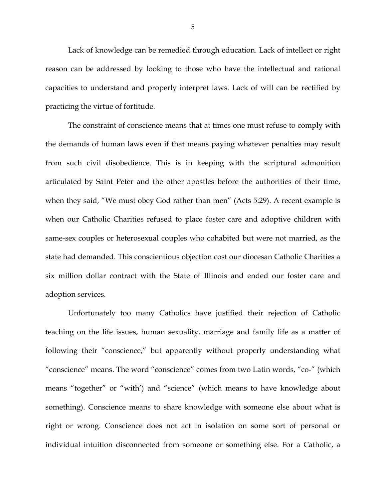Lack of knowledge can be remedied through education. Lack of intellect or right reason can be addressed by looking to those who have the intellectual and rational capacities to understand and properly interpret laws. Lack of will can be rectified by practicing the virtue of fortitude.

The constraint of conscience means that at times one must refuse to comply with the demands of human laws even if that means paying whatever penalties may result from such civil disobedience. This is in keeping with the scriptural admonition articulated by Saint Peter and the other apostles before the authorities of their time, when they said, "We must obey God rather than men" (Acts 5:29). A recent example is when our Catholic Charities refused to place foster care and adoptive children with same-sex couples or heterosexual couples who cohabited but were not married, as the state had demanded. This conscientious objection cost our diocesan Catholic Charities a six million dollar contract with the State of Illinois and ended our foster care and adoption services.

Unfortunately too many Catholics have justified their rejection of Catholic teaching on the life issues, human sexuality, marriage and family life as a matter of following their "conscience," but apparently without properly understanding what "conscience" means. The word "conscience" comes from two Latin words, "co-" (which means "together" or "with') and "science" (which means to have knowledge about something). Conscience means to share knowledge with someone else about what is right or wrong. Conscience does not act in isolation on some sort of personal or individual intuition disconnected from someone or something else. For a Catholic, a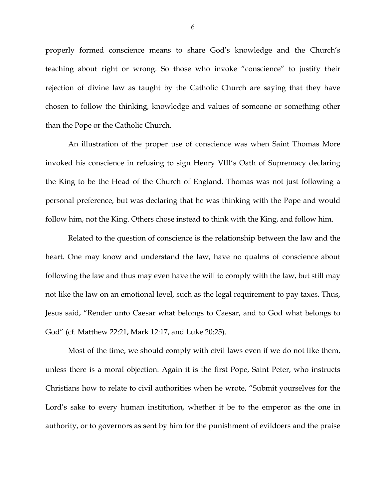properly formed conscience means to share God's knowledge and the Church's teaching about right or wrong. So those who invoke "conscience" to justify their rejection of divine law as taught by the Catholic Church are saying that they have chosen to follow the thinking, knowledge and values of someone or something other than the Pope or the Catholic Church.

An illustration of the proper use of conscience was when Saint Thomas More invoked his conscience in refusing to sign Henry VIII's Oath of Supremacy declaring the King to be the Head of the Church of England. Thomas was not just following a personal preference, but was declaring that he was thinking with the Pope and would follow him, not the King. Others chose instead to think with the King, and follow him.

Related to the question of conscience is the relationship between the law and the heart. One may know and understand the law, have no qualms of conscience about following the law and thus may even have the will to comply with the law, but still may not like the law on an emotional level, such as the legal requirement to pay taxes. Thus, Jesus said, "Render unto Caesar what belongs to Caesar, and to God what belongs to God" (cf. Matthew 22:21, Mark 12:17, and Luke 20:25).

Most of the time, we should comply with civil laws even if we do not like them, unless there is a moral objection. Again it is the first Pope, Saint Peter, who instructs Christians how to relate to civil authorities when he wrote, "Submit yourselves for the Lord's sake to every human institution, whether it be to the emperor as the one in authority, or to governors as sent by him for the punishment of evildoers and the praise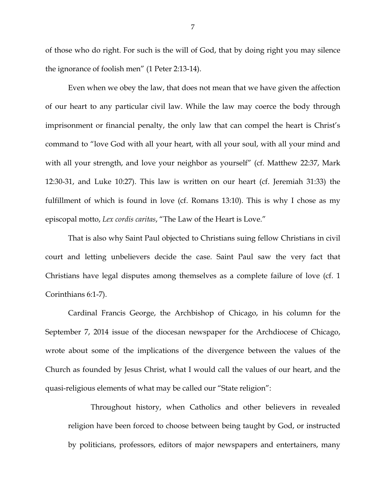of those who do right. For such is the will of God, that by doing right you may silence the ignorance of foolish men" (1 Peter 2:13-14).

Even when we obey the law, that does not mean that we have given the affection of our heart to any particular civil law. While the law may coerce the body through imprisonment or financial penalty, the only law that can compel the heart is Christ's command to "love God with all your heart, with all your soul, with all your mind and with all your strength, and love your neighbor as yourself" (cf. Matthew 22:37, Mark 12:30-31, and Luke 10:27). This law is written on our heart (cf. Jeremiah 31:33) the fulfillment of which is found in love (cf. Romans 13:10). This is why I chose as my episcopal motto, *Lex cordis caritas*, "The Law of the Heart is Love."

That is also why Saint Paul objected to Christians suing fellow Christians in civil court and letting unbelievers decide the case. Saint Paul saw the very fact that Christians have legal disputes among themselves as a complete failure of love (cf. 1 Corinthians 6:1-7).

Cardinal Francis George, the Archbishop of Chicago, in his column for the September 7, 2014 issue of the diocesan newspaper for the Archdiocese of Chicago, wrote about some of the implications of the divergence between the values of the Church as founded by Jesus Christ, what I would call the values of our heart, and the quasi-religious elements of what may be called our "State religion":

Throughout history, when Catholics and other believers in revealed religion have been forced to choose between being taught by God, or instructed by politicians, professors, editors of major newspapers and entertainers, many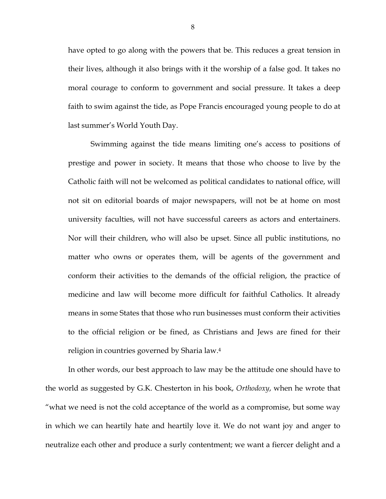have opted to go along with the powers that be. This reduces a great tension in their lives, although it also brings with it the worship of a false god. It takes no moral courage to conform to government and social pressure. It takes a deep faith to swim against the tide, as Pope Francis encouraged young people to do at last summer's World Youth Day.

Swimming against the tide means limiting one's access to positions of prestige and power in society. It means that those who choose to live by the Catholic faith will not be welcomed as political candidates to national office, will not sit on editorial boards of major newspapers, will not be at home on most university faculties, will not have successful careers as actors and entertainers. Nor will their children, who will also be upset. Since all public institutions, no matter who owns or operates them, will be agents of the government and conform their activities to the demands of the official religion, the practice of medicine and law will become more difficult for faithful Catholics. It already means in some States that those who run businesses must conform their activities to the official religion or be fined, as Christians and Jews are fined for their religion in countries governed by Sharia law.4

 In other words, our best approach to law may be the attitude one should have to the world as suggested by G.K. Chesterton in his book, *Orthodoxy*, when he wrote that "what we need is not the cold acceptance of the world as a compromise, but some way in which we can heartily hate and heartily love it. We do not want joy and anger to neutralize each other and produce a surly contentment; we want a fiercer delight and a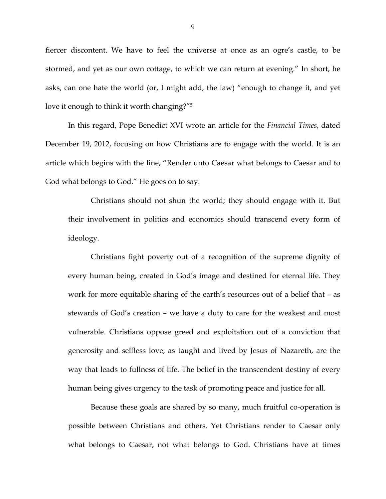fiercer discontent. We have to feel the universe at once as an ogre's castle, to be stormed, and yet as our own cottage, to which we can return at evening." In short, he asks, can one hate the world (or, I might add, the law) "enough to change it, and yet love it enough to think it worth changing?"5

In this regard, Pope Benedict XVI wrote an article for the *Financial Times*, dated December 19, 2012, focusing on how Christians are to engage with the world. It is an article which begins with the line, "Render unto Caesar what belongs to Caesar and to God what belongs to God." He goes on to say:

Christians should not shun the world; they should engage with it. But their involvement in politics and economics should transcend every form of ideology.

Christians fight poverty out of a recognition of the supreme dignity of every human being, created in God's image and destined for eternal life. They work for more equitable sharing of the earth's resources out of a belief that – as stewards of God's creation – we have a duty to care for the weakest and most vulnerable. Christians oppose greed and exploitation out of a conviction that generosity and selfless love, as taught and lived by Jesus of Nazareth, are the way that leads to fullness of life. The belief in the transcendent destiny of every human being gives urgency to the task of promoting peace and justice for all.

Because these goals are shared by so many, much fruitful co-operation is possible between Christians and others. Yet Christians render to Caesar only what belongs to Caesar, not what belongs to God. Christians have at times